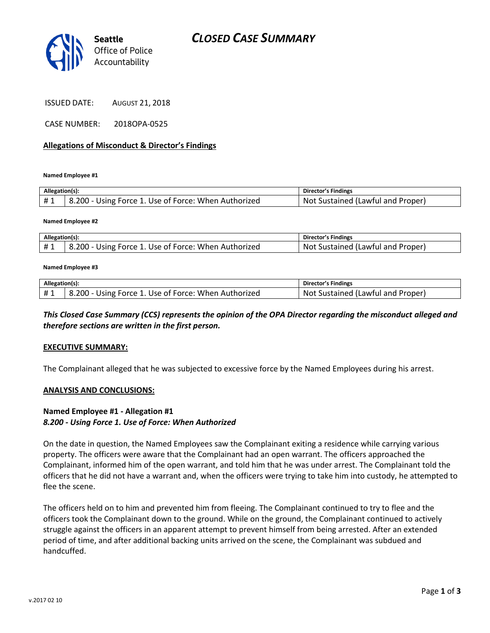

ISSUED DATE: AUGUST 21, 2018

CASE NUMBER: 2018OPA-0525

#### **Allegations of Misconduct & Director's Findings**

**Named Employee #1**

| Allegation(s): |                                                      | Director's Findings               |
|----------------|------------------------------------------------------|-----------------------------------|
| #1             | 8.200 - Using Force 1. Use of Force: When Authorized | Not Sustained (Lawful and Proper) |

**Named Employee #2**

| Allegation(s): |                                                      | <b>Director's Findings</b>        |
|----------------|------------------------------------------------------|-----------------------------------|
|                | 8.200 - Using Force 1. Use of Force: When Authorized | Not Sustained (Lawful and Proper) |

#### **Named Employee #3**

| Allegation(s): |                                                      | Director's Findings               |
|----------------|------------------------------------------------------|-----------------------------------|
| #1             | 8.200 - Using Force 1. Use of Force: When Authorized | Not Sustained (Lawful and Proper) |

### *This Closed Case Summary (CCS) represents the opinion of the OPA Director regarding the misconduct alleged and therefore sections are written in the first person.*

#### **EXECUTIVE SUMMARY:**

The Complainant alleged that he was subjected to excessive force by the Named Employees during his arrest.

#### **ANALYSIS AND CONCLUSIONS:**

#### **Named Employee #1 - Allegation #1** *8.200 - Using Force 1. Use of Force: When Authorized*

On the date in question, the Named Employees saw the Complainant exiting a residence while carrying various property. The officers were aware that the Complainant had an open warrant. The officers approached the Complainant, informed him of the open warrant, and told him that he was under arrest. The Complainant told the officers that he did not have a warrant and, when the officers were trying to take him into custody, he attempted to flee the scene.

The officers held on to him and prevented him from fleeing. The Complainant continued to try to flee and the officers took the Complainant down to the ground. While on the ground, the Complainant continued to actively struggle against the officers in an apparent attempt to prevent himself from being arrested. After an extended period of time, and after additional backing units arrived on the scene, the Complainant was subdued and handcuffed.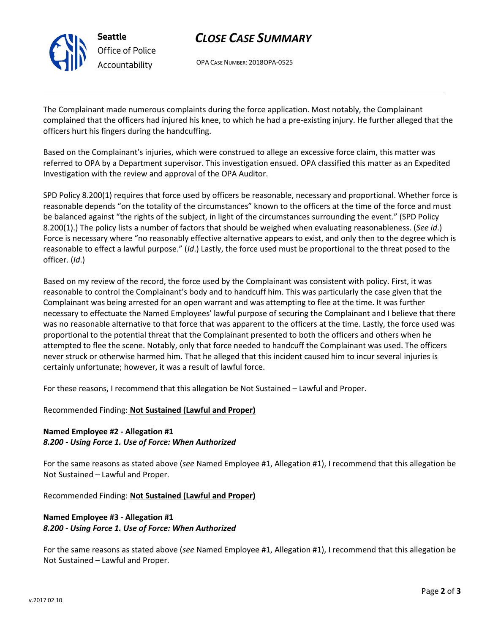

## *CLOSE CASE SUMMARY*

OPA CASE NUMBER: 2018OPA-0525

The Complainant made numerous complaints during the force application. Most notably, the Complainant complained that the officers had injured his knee, to which he had a pre-existing injury. He further alleged that the officers hurt his fingers during the handcuffing.

Based on the Complainant's injuries, which were construed to allege an excessive force claim, this matter was referred to OPA by a Department supervisor. This investigation ensued. OPA classified this matter as an Expedited Investigation with the review and approval of the OPA Auditor.

SPD Policy 8.200(1) requires that force used by officers be reasonable, necessary and proportional. Whether force is reasonable depends "on the totality of the circumstances" known to the officers at the time of the force and must be balanced against "the rights of the subject, in light of the circumstances surrounding the event." (SPD Policy 8.200(1).) The policy lists a number of factors that should be weighed when evaluating reasonableness. (*See id*.) Force is necessary where "no reasonably effective alternative appears to exist, and only then to the degree which is reasonable to effect a lawful purpose." (*Id*.) Lastly, the force used must be proportional to the threat posed to the officer. (*Id*.)

Based on my review of the record, the force used by the Complainant was consistent with policy. First, it was reasonable to control the Complainant's body and to handcuff him. This was particularly the case given that the Complainant was being arrested for an open warrant and was attempting to flee at the time. It was further necessary to effectuate the Named Employees' lawful purpose of securing the Complainant and I believe that there was no reasonable alternative to that force that was apparent to the officers at the time. Lastly, the force used was proportional to the potential threat that the Complainant presented to both the officers and others when he attempted to flee the scene. Notably, only that force needed to handcuff the Complainant was used. The officers never struck or otherwise harmed him. That he alleged that this incident caused him to incur several injuries is certainly unfortunate; however, it was a result of lawful force.

For these reasons, I recommend that this allegation be Not Sustained – Lawful and Proper.

Recommended Finding: **Not Sustained (Lawful and Proper)**

## **Named Employee #2 - Allegation #1** *8.200 - Using Force 1. Use of Force: When Authorized*

For the same reasons as stated above (*see* Named Employee #1, Allegation #1), I recommend that this allegation be Not Sustained – Lawful and Proper.

Recommended Finding: **Not Sustained (Lawful and Proper)**

## **Named Employee #3 - Allegation #1** *8.200 - Using Force 1. Use of Force: When Authorized*

For the same reasons as stated above (*see* Named Employee #1, Allegation #1), I recommend that this allegation be Not Sustained – Lawful and Proper.